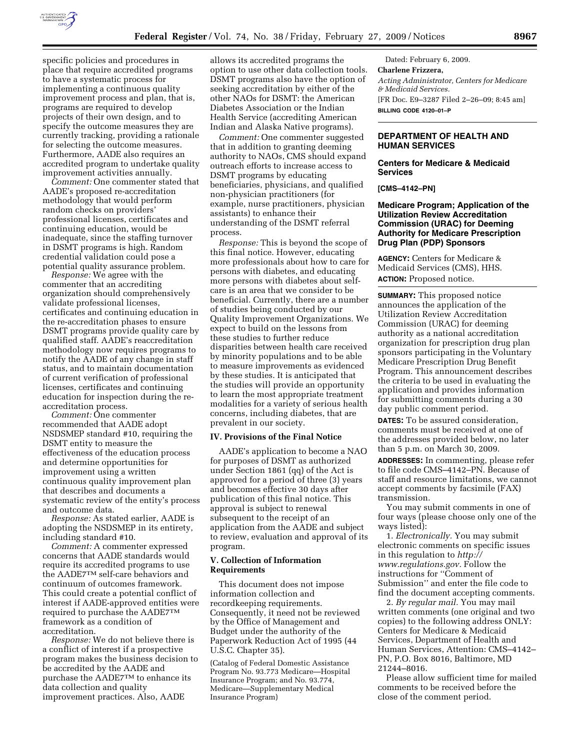

specific policies and procedures in place that require accredited programs to have a systematic process for implementing a continuous quality improvement process and plan, that is, programs are required to develop projects of their own design, and to specify the outcome measures they are currently tracking, providing a rationale for selecting the outcome measures. Furthermore, AADE also requires an accredited program to undertake quality improvement activities annually.

*Comment:* One commenter stated that AADE's proposed re-accreditation methodology that would perform random checks on providers' professional licenses, certificates and continuing education, would be inadequate, since the staffing turnover in DSMT programs is high. Random credential validation could pose a potential quality assurance problem.

*Response:* We agree with the commenter that an accrediting organization should comprehensively validate professional licenses, certificates and continuing education in the re-accreditation phases to ensure DSMT programs provide quality care by qualified staff. AADE's reaccreditation methodology now requires programs to notify the AADE of any change in staff status, and to maintain documentation of current verification of professional licenses, certificates and continuing education for inspection during the reaccreditation process.

*Comment:* One commenter recommended that AADE adopt NSDSMEP standard #10, requiring the DSMT entity to measure the effectiveness of the education process and determine opportunities for improvement using a written continuous quality improvement plan that describes and documents a systematic review of the entity's process and outcome data.

*Response:* As stated earlier, AADE is adopting the NSDSMEP in its entirety, including standard #10.

*Comment:* A commenter expressed concerns that AADE standards would require its accredited programs to use the AADE7TM self-care behaviors and continuum of outcomes framework. This could create a potential conflict of interest if AADE-approved entities were required to purchase the AADE7TM framework as a condition of accreditation.

*Response:* We do not believe there is a conflict of interest if a prospective program makes the business decision to be accredited by the AADE and purchase the AADE7TM to enhance its data collection and quality improvement practices. Also, AADE

allows its accredited programs the option to use other data collection tools. DSMT programs also have the option of seeking accreditation by either of the other NAOs for DSMT: the American Diabetes Association or the Indian Health Service (accrediting American Indian and Alaska Native programs).

*Comment:* One commenter suggested that in addition to granting deeming authority to NAOs, CMS should expand outreach efforts to increase access to DSMT programs by educating beneficiaries, physicians, and qualified non-physician practitioners (for example, nurse practitioners, physician assistants) to enhance their understanding of the DSMT referral process.

*Response:* This is beyond the scope of this final notice. However, educating more professionals about how to care for persons with diabetes, and educating more persons with diabetes about selfcare is an area that we consider to be beneficial. Currently, there are a number of studies being conducted by our Quality Improvement Organizations. We expect to build on the lessons from these studies to further reduce disparities between health care received by minority populations and to be able to measure improvements as evidenced by these studies. It is anticipated that the studies will provide an opportunity to learn the most appropriate treatment modalities for a variety of serious health concerns, including diabetes, that are prevalent in our society.

#### **IV. Provisions of the Final Notice**

AADE's application to become a NAO for purposes of DSMT as authorized under Section 1861 (qq) of the Act is approved for a period of three (3) years and becomes effective 30 days after publication of this final notice. This approval is subject to renewal subsequent to the receipt of an application from the AADE and subject to review, evaluation and approval of its program.

# **V. Collection of Information Requirements**

This document does not impose information collection and recordkeeping requirements. Consequently, it need not be reviewed by the Office of Management and Budget under the authority of the Paperwork Reduction Act of 1995 (44 U.S.C. Chapter 35).

(Catalog of Federal Domestic Assistance Program No. 93.773 Medicare—Hospital Insurance Program; and No. 93.774, Medicare—Supplementary Medical Insurance Program)

Dated: February 6, 2009. **Charlene Frizzera,**  *Acting Administrator, Centers for Medicare & Medicaid Services.*  [FR Doc. E9–3287 Filed 2–26–09; 8:45 am] **BILLING CODE 4120–01–P** 

# **DEPARTMENT OF HEALTH AND HUMAN SERVICES**

# **Centers for Medicare & Medicaid Services**

**[CMS–4142–PN]** 

# **Medicare Program; Application of the Utilization Review Accreditation Commission (URAC) for Deeming Authority for Medicare Prescription Drug Plan (PDP) Sponsors**

**AGENCY:** Centers for Medicare & Medicaid Services (CMS), HHS. **ACTION:** Proposed notice.

**SUMMARY:** This proposed notice announces the application of the Utilization Review Accreditation Commission (URAC) for deeming authority as a national accreditation organization for prescription drug plan sponsors participating in the Voluntary Medicare Prescription Drug Benefit Program. This announcement describes the criteria to be used in evaluating the application and provides information for submitting comments during a 30 day public comment period.

**DATES:** To be assured consideration, comments must be received at one of the addresses provided below, no later than 5 p.m. on March 30, 2009.

**ADDRESSES:** In commenting, please refer to file code CMS–4142–PN. Because of staff and resource limitations, we cannot accept comments by facsimile (FAX) transmission.

You may submit comments in one of four ways (please choose only one of the ways listed):

1. *Electronically.* You may submit electronic comments on specific issues in this regulation to *http:// www.regulations.gov.* Follow the instructions for ''Comment of Submission'' and enter the file code to find the document accepting comments.

2. *By regular mail.* You may mail written comments (one original and two copies) to the following address ONLY: Centers for Medicare & Medicaid Services, Department of Health and Human Services, Attention: CMS–4142– PN, P.O. Box 8016, Baltimore, MD 21244–8016.

Please allow sufficient time for mailed comments to be received before the close of the comment period.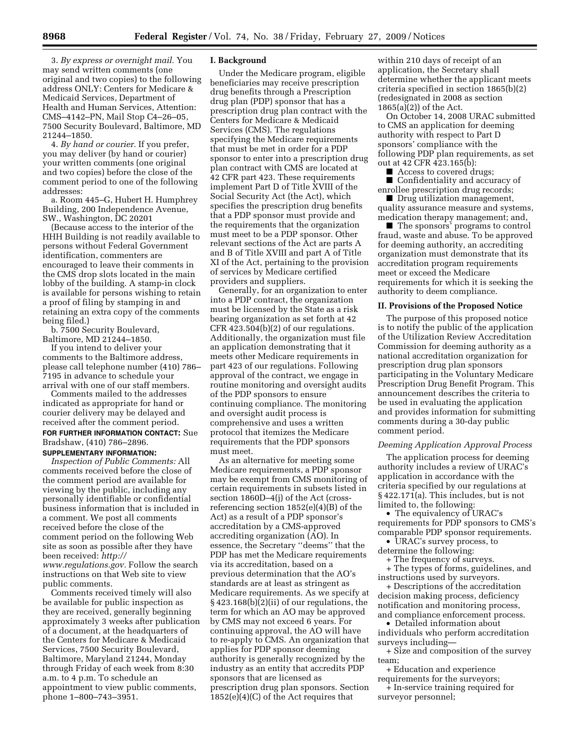3. *By express or overnight mail.* You may send written comments (one original and two copies) to the following address ONLY: Centers for Medicare & Medicaid Services, Department of Health and Human Services, Attention: CMS–4142–PN, Mail Stop C4–26–05, 7500 Security Boulevard, Baltimore, MD 21244–1850.

4. *By hand or courier.* If you prefer, you may deliver (by hand or courier) your written comments (one original and two copies) before the close of the comment period to one of the following addresses:

a. Room 445–G, Hubert H. Humphrey Building, 200 Independence Avenue, SW., Washington, DC 20201

(Because access to the interior of the HHH Building is not readily available to persons without Federal Government identification, commenters are encouraged to leave their comments in the CMS drop slots located in the main lobby of the building. A stamp-in clock is available for persons wishing to retain a proof of filing by stamping in and retaining an extra copy of the comments being filed.)

b. 7500 Security Boulevard, Baltimore, MD 21244–1850.

If you intend to deliver your comments to the Baltimore address, please call telephone number (410) 786– 7195 in advance to schedule your arrival with one of our staff members.

Comments mailed to the addresses indicated as appropriate for hand or courier delivery may be delayed and received after the comment period. **FOR FURTHER INFORMATION CONTACT:** Sue Bradshaw, (410) 786–2896. **SUPPLEMENTARY INFORMATION:** 

*Inspection of Public Comments:* All comments received before the close of the comment period are available for viewing by the public, including any personally identifiable or confidential business information that is included in a comment. We post all comments received before the close of the comment period on the following Web site as soon as possible after they have been received: *http:// www.regulations.gov.* Follow the search instructions on that Web site to view public comments.

Comments received timely will also be available for public inspection as they are received, generally beginning approximately 3 weeks after publication of a document, at the headquarters of the Centers for Medicare & Medicaid Services, 7500 Security Boulevard, Baltimore, Maryland 21244, Monday through Friday of each week from 8:30 a.m. to 4 p.m. To schedule an appointment to view public comments, phone 1–800–743–3951.

### **I. Background**

Under the Medicare program, eligible beneficiaries may receive prescription drug benefits through a Prescription drug plan (PDP) sponsor that has a prescription drug plan contract with the Centers for Medicare & Medicaid Services (CMS). The regulations specifying the Medicare requirements that must be met in order for a PDP sponsor to enter into a prescription drug plan contract with CMS are located at 42 CFR part 423. These requirements implement Part D of Title XVIII of the Social Security Act (the Act), which specifies the prescription drug benefits that a PDP sponsor must provide and the requirements that the organization must meet to be a PDP sponsor. Other relevant sections of the Act are parts A and B of Title XVIII and part A of Title XI of the Act, pertaining to the provision of services by Medicare certified providers and suppliers.

Generally, for an organization to enter into a PDP contract, the organization must be licensed by the State as a risk bearing organization as set forth at 42 CFR 423.504(b)(2) of our regulations. Additionally, the organization must file an application demonstrating that it meets other Medicare requirements in part 423 of our regulations. Following approval of the contract, we engage in routine monitoring and oversight audits of the PDP sponsors to ensure continuing compliance. The monitoring and oversight audit process is comprehensive and uses a written protocol that itemizes the Medicare requirements that the PDP sponsors must meet.

As an alternative for meeting some Medicare requirements, a PDP sponsor may be exempt from CMS monitoring of certain requirements in subsets listed in section 1860D–4(j) of the Act (crossreferencing section 1852(e)(4)(B) of the Act) as a result of a PDP sponsor's accreditation by a CMS-approved accrediting organization (AO). In essence, the Secretary ''deems'' that the PDP has met the Medicare requirements via its accreditation, based on a previous determination that the AO's standards are at least as stringent as Medicare requirements. As we specify at § 423.168(b)(2)(ii) of our regulations, the term for which an AO may be approved by CMS may not exceed 6 years. For continuing approval, the AO will have to re-apply to CMS. An organization that applies for PDP sponsor deeming authority is generally recognized by the industry as an entity that accredits PDP sponsors that are licensed as prescription drug plan sponsors. Section 1852(e)(4)(C) of the Act requires that

within 210 days of receipt of an application, the Secretary shall determine whether the applicant meets criteria specified in section 1865(b)(2) (redesignated in 2008 as section 1865(a)(2)) of the Act.

On October 14, 2008 URAC submitted to CMS an application for deeming authority with respect to Part D sponsors' compliance with the following PDP plan requirements, as set out at 42 CFR 423.165(b):

■ Access to covered drugs;

■ Confidentiality and accuracy of enrollee prescription drug records;

■ Drug utilization management, quality assurance measure and systems, medication therapy management; and,

■ The sponsors' programs to control fraud, waste and abuse. To be approved for deeming authority, an accrediting organization must demonstrate that its accreditation program requirements meet or exceed the Medicare requirements for which it is seeking the authority to deem compliance.

### **II. Provisions of the Proposed Notice**

The purpose of this proposed notice is to notify the public of the application of the Utilization Review Accreditation Commission for deeming authority as a national accreditation organization for prescription drug plan sponsors participating in the Voluntary Medicare Prescription Drug Benefit Program. This announcement describes the criteria to be used in evaluating the application and provides information for submitting comments during a 30-day public comment period.

#### *Deeming Application Approval Process*

The application process for deeming authority includes a review of URAC's application in accordance with the criteria specified by our regulations at § 422.171(a). This includes, but is not limited to, the following:

• The equivalency of URAC's requirements for PDP sponsors to CMS's comparable PDP sponsor requirements.

• URAC's survey process, to determine the following:

+ The frequency of surveys.

+ The types of forms, guidelines, and instructions used by surveyors.

+ Descriptions of the accreditation decision making process, deficiency notification and monitoring process, and compliance enforcement process.

• Detailed information about individuals who perform accreditation

surveys including—

+ Size and composition of the survey team;

+ Education and experience requirements for the surveyors;

+ In-service training required for surveyor personnel;